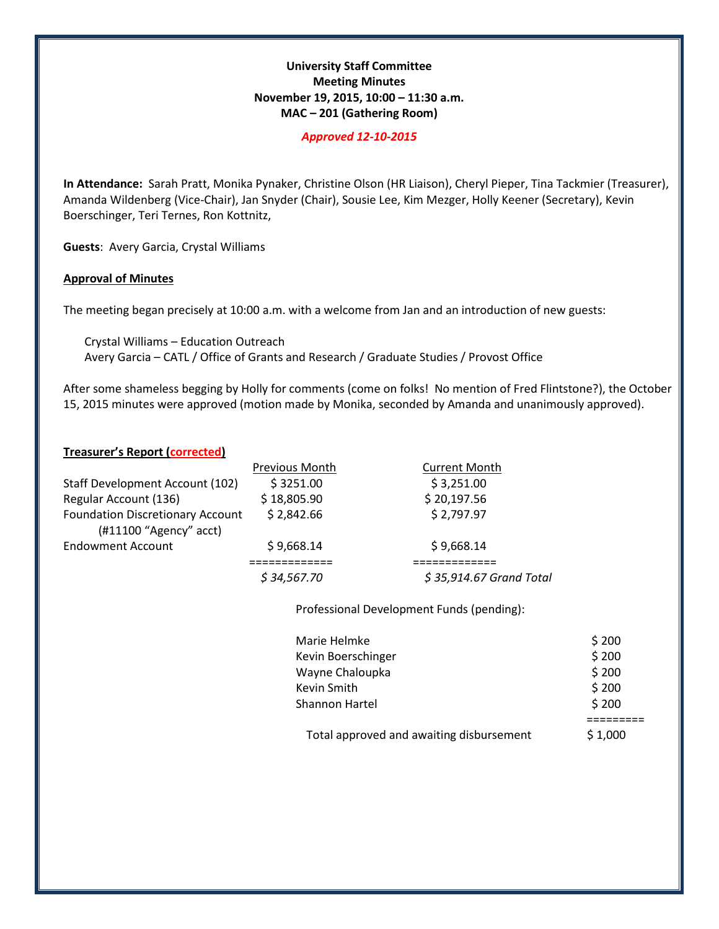## **University Staff Committee Meeting Minutes November 19, 2015, 10:00 – 11:30 a.m. MAC – 201 (Gathering Room)**

#### *Approved 12-10-2015*

**In Attendance:** Sarah Pratt, Monika Pynaker, Christine Olson (HR Liaison), Cheryl Pieper, Tina Tackmier (Treasurer), Amanda Wildenberg (Vice-Chair), Jan Snyder (Chair), Sousie Lee, Kim Mezger, Holly Keener (Secretary), Kevin Boerschinger, Teri Ternes, Ron Kottnitz,

**Guests**: Avery Garcia, Crystal Williams

#### **Approval of Minutes**

The meeting began precisely at 10:00 a.m. with a welcome from Jan and an introduction of new guests:

Crystal Williams – Education Outreach Avery Garcia – CATL / Office of Grants and Research / Graduate Studies / Provost Office

After some shameless begging by Holly for comments (come on folks! No mention of Fred Flintstone?), the October 15, 2015 minutes were approved (motion made by Monika, seconded by Amanda and unanimously approved).

#### **Treasurer's Report (corrected)**

|                                                                     | Previous Month | <b>Current Month</b>     |
|---------------------------------------------------------------------|----------------|--------------------------|
| Staff Development Account (102)                                     | \$3251.00      | \$3,251.00               |
| Regular Account (136)                                               | \$18,805.90    | \$20,197.56              |
| <b>Foundation Discretionary Account</b><br>$(H11100$ "Agency" acct) | \$2,842.66     | \$2,797.97               |
| <b>Endowment Account</b>                                            | \$9,668.14     | \$9,668.14               |
|                                                                     |                |                          |
|                                                                     | \$34,567.70    | $$35,914.67$ Grand Total |
|                                                                     |                |                          |

Professional Development Funds (pending):

| Marie Helmke                             | \$200   |  |
|------------------------------------------|---------|--|
| Kevin Boerschinger                       | \$200   |  |
| Wayne Chaloupka                          | \$200   |  |
| Kevin Smith                              | \$200   |  |
| Shannon Hartel                           | \$200   |  |
|                                          |         |  |
| Total approved and awaiting disbursement | \$1,000 |  |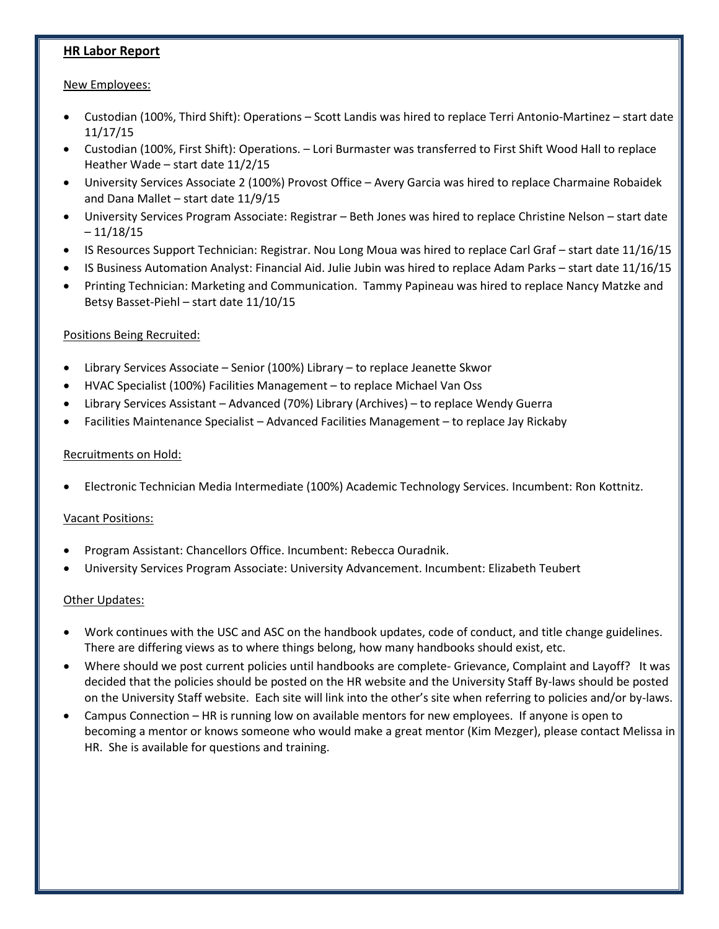# **HR Labor Report**

### New Employees:

- Custodian (100%, Third Shift): Operations Scott Landis was hired to replace Terri Antonio-Martinez start date 11/17/15
- Custodian (100%, First Shift): Operations. Lori Burmaster was transferred to First Shift Wood Hall to replace Heather Wade – start date 11/2/15
- University Services Associate 2 (100%) Provost Office Avery Garcia was hired to replace Charmaine Robaidek and Dana Mallet – start date 11/9/15
- University Services Program Associate: Registrar Beth Jones was hired to replace Christine Nelson start date – 11/18/15
- IS Resources Support Technician: Registrar. Nou Long Moua was hired to replace Carl Graf start date 11/16/15
- IS Business Automation Analyst: Financial Aid. Julie Jubin was hired to replace Adam Parks start date 11/16/15
- Printing Technician: Marketing and Communication. Tammy Papineau was hired to replace Nancy Matzke and Betsy Basset-Piehl – start date 11/10/15

## Positions Being Recruited:

- Library Services Associate Senior (100%) Library to replace Jeanette Skwor
- HVAC Specialist (100%) Facilities Management to replace Michael Van Oss
- Library Services Assistant Advanced (70%) Library (Archives) to replace Wendy Guerra
- Facilities Maintenance Specialist Advanced Facilities Management to replace Jay Rickaby

### Recruitments on Hold:

• Electronic Technician Media Intermediate (100%) Academic Technology Services. Incumbent: Ron Kottnitz.

### Vacant Positions:

- Program Assistant: Chancellors Office. Incumbent: Rebecca Ouradnik.
- University Services Program Associate: University Advancement. Incumbent: Elizabeth Teubert

### Other Updates:

- Work continues with the USC and ASC on the handbook updates, code of conduct, and title change guidelines. There are differing views as to where things belong, how many handbooks should exist, etc.
- Where should we post current policies until handbooks are complete- Grievance, Complaint and Layoff? It was decided that the policies should be posted on the HR website and the University Staff By-laws should be posted on the University Staff website. Each site will link into the other's site when referring to policies and/or by-laws.
- Campus Connection HR is running low on available mentors for new employees. If anyone is open to becoming a mentor or knows someone who would make a great mentor (Kim Mezger), please contact Melissa in HR. She is available for questions and training.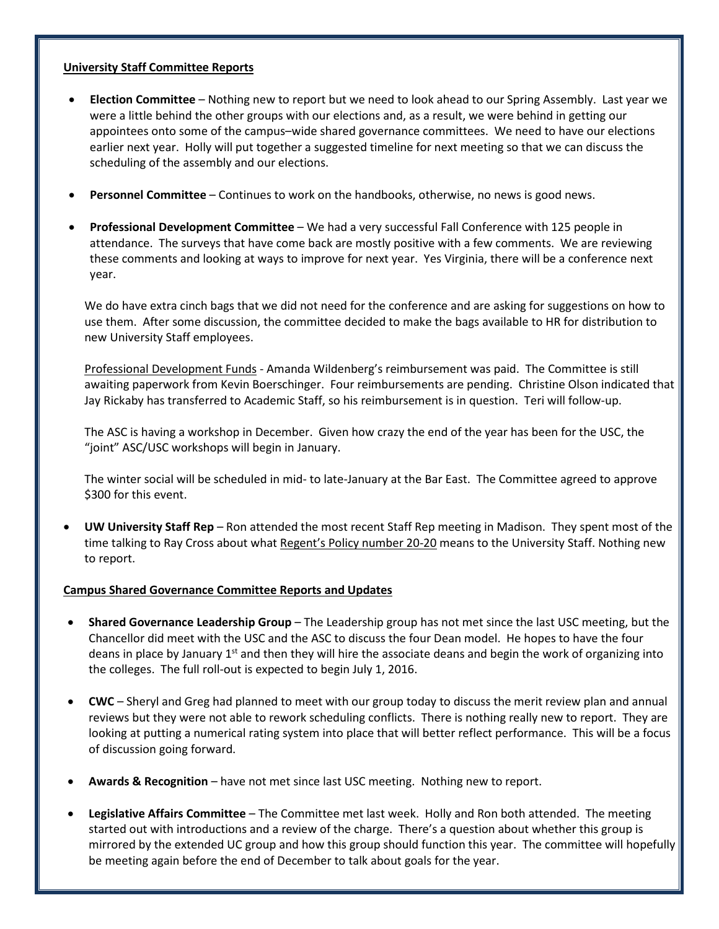#### **University Staff Committee Reports**

- **Election Committee**  Nothing new to report but we need to look ahead to our Spring Assembly. Last year we were a little behind the other groups with our elections and, as a result, we were behind in getting our appointees onto some of the campus–wide shared governance committees. We need to have our elections earlier next year. Holly will put together a suggested timeline for next meeting so that we can discuss the scheduling of the assembly and our elections.
- **Personnel Committee** Continues to work on the handbooks, otherwise, no news is good news.
- **Professional Development Committee** We had a very successful Fall Conference with 125 people in attendance. The surveys that have come back are mostly positive with a few comments. We are reviewing these comments and looking at ways to improve for next year. Yes Virginia, there will be a conference next year.

We do have extra cinch bags that we did not need for the conference and are asking for suggestions on how to use them. After some discussion, the committee decided to make the bags available to HR for distribution to new University Staff employees.

Professional Development Funds - Amanda Wildenberg's reimbursement was paid. The Committee is still awaiting paperwork from Kevin Boerschinger. Four reimbursements are pending. Christine Olson indicated that Jay Rickaby has transferred to Academic Staff, so his reimbursement is in question. Teri will follow-up.

The ASC is having a workshop in December. Given how crazy the end of the year has been for the USC, the "joint" ASC/USC workshops will begin in January.

The winter social will be scheduled in mid- to late-January at the Bar East. The Committee agreed to approve \$300 for this event.

• **UW University Staff Rep** – Ron attended the most recent Staff Rep meeting in Madison. They spent most of the time talking to Ray Cross about what Regent's Policy number 20-20 means to the University Staff. Nothing new to report.

### **Campus Shared Governance Committee Reports and Updates**

- **Shared Governance Leadership Group**  The Leadership group has not met since the last USC meeting, but the Chancellor did meet with the USC and the ASC to discuss the four Dean model. He hopes to have the four deans in place by January  $1<sup>st</sup>$  and then they will hire the associate deans and begin the work of organizing into the colleges. The full roll-out is expected to begin July 1, 2016.
- **CWC**  Sheryl and Greg had planned to meet with our group today to discuss the merit review plan and annual reviews but they were not able to rework scheduling conflicts. There is nothing really new to report. They are looking at putting a numerical rating system into place that will better reflect performance. This will be a focus of discussion going forward.
- **Awards & Recognition**  have not met since last USC meeting. Nothing new to report.
- **Legislative Affairs Committee** The Committee met last week. Holly and Ron both attended. The meeting started out with introductions and a review of the charge. There's a question about whether this group is mirrored by the extended UC group and how this group should function this year. The committee will hopefully be meeting again before the end of December to talk about goals for the year.